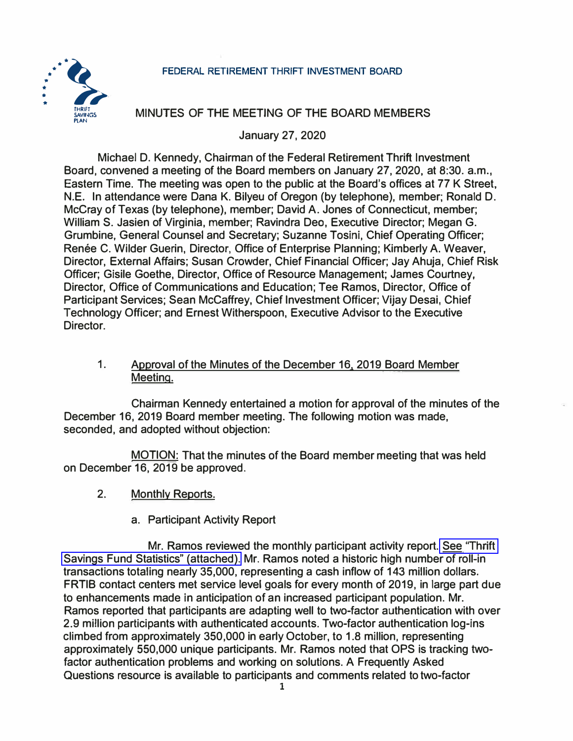## **FEDERAL RETIREMENT THRIFT INVESTMENT BOARD**



## **MINUTES OF THE MEETING OF THE BOARD MEMBERS**

**January 27, 2020** 

**Michael D. Kennedy, Chairman of the Federal Retirement Thrift Investment Board, convened a meeting of the Board members on January 27, 2020, at 8:30. a.m., Eastern Time. The meeting was open to the public at the Board's offices at 77 K Street, N.E. In attendance were Dana K. Bilyeu of Oregon (by telephone), member; Ronald D. McCray of Texas (by telephone), member; David A. Jones of Connecticut, member; William S. Jasien of Virginia, member; Ravindra Dec, Executive Director; Megan G. Grumbine, General Counsel and Secretary; Suzanne Tosini, Chief Operating Officer;**  Renée C. Wilder Guerin, Director, Office of Enterprise Planning; Kimberly A. Weaver, **Director, External Affairs; Susan Crowder, Chief Financial Officer; Jay Ahuja, Chief Risk Officer; Gisile Goethe, Director, Office of Resource Management; James Courtney, Director, Office of Communications and Education; Tee Ramos, Director, Office of Participant Services; Sean McCaffrey, Chief Investment Officer; Vijay Desai, Chief Technology Officer; and Ernest Witherspoon, Executive Advisor to the Executive Director.** 

1. **Approval of the Minutes of the December 16, 2019 Board Member Meeting.**

**Chairman Kennedy entertained a motion for approval of the minutes of the December 16, 2019 Board member meeting. The following motion was made, seconded, and adopted without objection:** 

**MOTION: That the minutes of the Board member meeting that was held on December 16, 2019 be approved.** 

- **2. Monthly Reports.**
	- **a. Participant Activity Report**

**Mr. Ramos reviewed the monthly participant activity report. [See 'Thrift](https://www.frtib.gov/pdf/minutes/2020/Jan/MM-2020Jan-Att1.pdf)  [Savings Fund Statistics" \(attached\).](https://www.frtib.gov/pdf/minutes/2020/Jan/MM-2020Jan-Att1.pdf) Mr. Ramos noted a historic high number of roll-in transactions totaling nearly 35,000, representing a cash inflow of 143 million dollars. FRTIB contact centers met service level goals for every month of 2019, in large part due to enhancements made in anticipation of an increased participant population. Mr. Ramos reported that participants are adapting well to two-factor authentication with over 2.9 million participants with authenticated accounts. Two-factor authentication log-ins climbed from approximately 350,000 in early October, to 1.8 million, representing approximately 550,000 unique participants. Mr. Ramos noted that OPS is tracking twofactor authentication problems and working on solutions. A Frequently Asked Questions resource is available to participants and comments related to two-factor**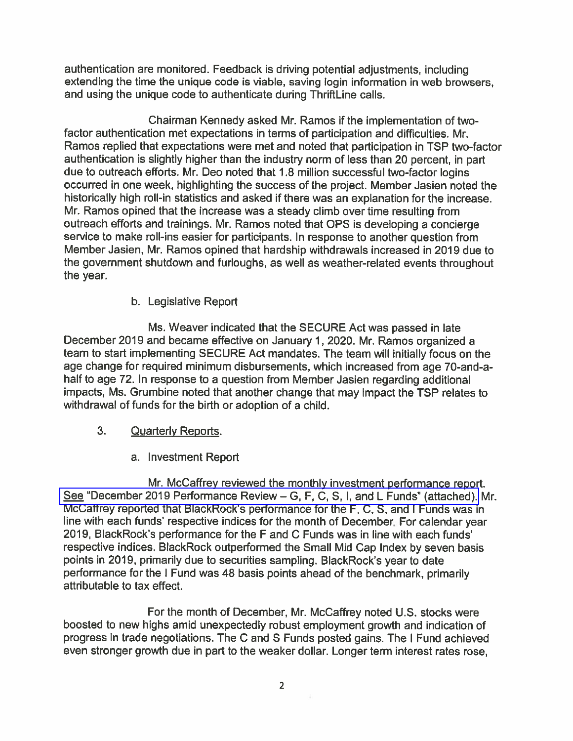authentication are monitored. Feedback is driving potential adjustments, including extending the time the unique code is viable, saving login information in web browsers, and using the unique code to authenticate during ThriftLine calls.

Chairman Kennedy asked Mr. Ramos if the implementation of twofactor authentication met expectations in terms of participation and difficulties. Mr. Ramos replied that expectations were met and noted that participation in TSP two-factor authentication is slightly higher than the industry norm of less than 20 percent, in part due to outreach efforts. Mr. Deo noted that 1.8 million successful two-factor logins occurred in one week, highlighting the success of the project. Member Jasien noted the historically high roll-in statistics and asked if there was an explanation for the increase. Mr. Ramos opined that the increase was a steady climb over time resulting from outreach efforts and trainings. Mr. Ramos noted that OPS is developing a concierge service to make roll-ins easier for participants. In response to another question from Member Jasien, Mr. Ramos opined that hardship withdrawals increased in 2019 due to the government shutdown and furloughs, as well as weather-related events throughout the year.

b. Legislative Report

Ms. Weaver indicated that the SECURE Act was passed in late December 2019 and became effective on January 1, 2020. Mr. Ramos organized a team to start implementing SECURE Act mandates. The team will initially focus on the age change for required minimum disbursements, which increased from age 70-and-ahalf to age 72. In response to a question from Member Jasien regarding additional impacts, Ms. Grumbine noted that another change that may impact the TSP relates to withdrawal of funds for the birth or adoption of a child.

## 3. **Quarterly Reports.**

a. Investment Report

Mr. McCaffrey reviewed the monthly investment performance report. See "December 2019 Performance Review - G, F, C, S, I, and L Funds" (attached), Mr. McCaffrey reported that BlackRock's performance for the F, C, S, and I Funds was in line with each funds' respective indices for the month of December. For calendar year 2019, BlackRock's performance for the F and C Funds was in line with each funds' respective indices. BlackRock outperformed the Small Mid Cap Index by seven basis points in 2019, primarily due to securities sampling. BlackRock's year to date performance for the I Fund was 48 basis points ahead of the benchmark, primarily attributable to tax effect.

For the month of December, Mr. McCaffrey noted U.S. stocks were boosted to new highs amid unexpectedly robust employment growth and indication of progress in trade negotiations. The C and S Funds posted gains. The I Fund achieved even stronger growth due in part to the weaker dollar. Longer term interest rates rose,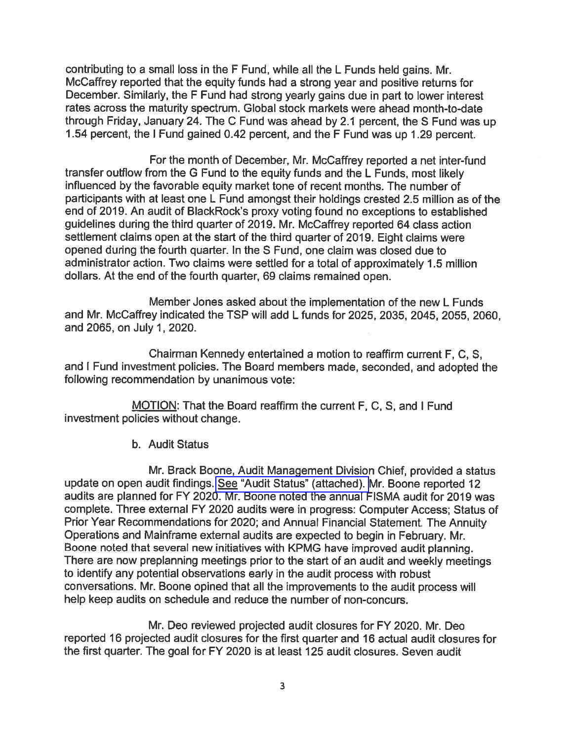contributing to a small loss in the F Fund, while all the L Funds held gains. Mr. McCaffrey reported that the equity funds had a strong year and positive returns for December. Similarly, the F Fund had strong yearly gains due in part to lower interest rates across the maturity spectrum. Global stock markets were ahead month-to-date through Friday, January 24. The C Fund was ahead by 2.1 percent, the S Fund was up 1.54 percent, the I Fund gained 0.42 percent, and the F Fund was up 1.29 percent.

For the month of December, Mr. McCaffrey reported a net inter-fund transfer outflow from the G Fund to the equity funds and the L Funds, most likely influenced by the favorable equity market tone of recent months. The number of participants with at least one L Fund amongst their holdings crested 2.5 million as of the end of 2019. An audit of BlackRock's proxy voting found no exceptions to established guidelines during the third quarter of 2019. Mr. McCaffrey reported 64 class action settlement claims open at the start of the third quarter of 2019. Eight claims were opened during the fourth quarter. In the S Fund, one claim was closed due to administrator action. Two claims were settled for a total of approximately 1.5 million dollars. At the end of the fourth quarter, 69 claims remained open.

Member Jones asked about the implementation of the new L Funds and Mr. McCaffrey indicated the TSP will add L funds for 2025, 2035, 2045, 2055, 2060, and 2065, on July 1, 2020.

Chairman Kennedy entertained a motion to reaffirm current F, C, S, and I Fund investment policies. The Board members made, seconded, and adopted the following recommendation by unanimous vote:

MOTION: That the Board reaffirm the current F, C, S, and I Fund investment policies without change.

b. Audit Status

Mr. Brack Boone, Audit Management Division Chief, provided a status update on open audit findings. See "Audit Status" (attached). Mr. Boone reported 12 audits are planned for FY 2020. Mr. Boone noted the annual FISMA audit for 2019 was complete. Three external FY 2020 audits were in progress: Computer Access; Status of Prior Year Recommendations for 2020; and Annual Financial Statement. The Annuity Operations and Mainframe external audits are expected to begin in February. Mr. Boone noted that several new initiatives with KPMG have improved audit planning. There are now preplanning meetings prior to the start of an audit and weekly meetings to identify any potential observations early in the audit process with robust conversations. Mr. Boone opined that all the improvements to the audit process will help keep audits on schedule and reduce the number of non-concurs.

Mr. Deo reviewed projected audit closures for FY 2020. Mr. Deo reported 16 projected audit closures for the first quarter and 16 actual audit closures for the first quarter. The goal for FY 2020 is at least 125 audit closures. Seven audit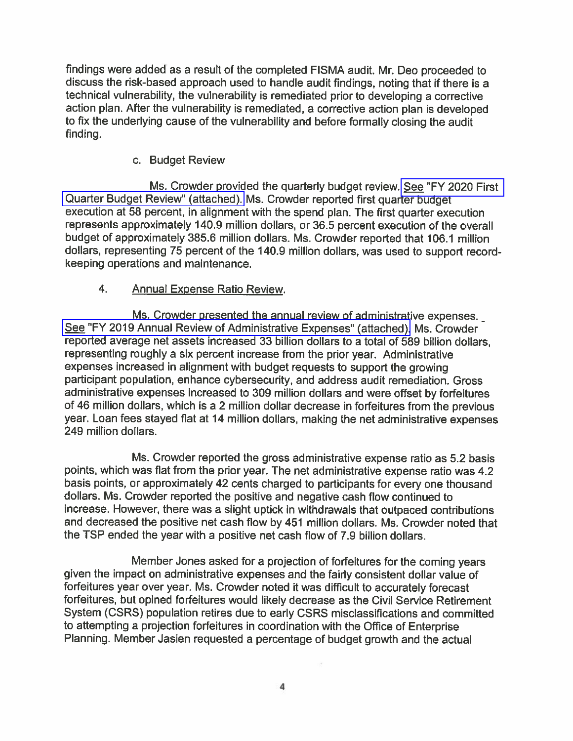findings were added as a result of the completed FISMA audit. Mr. Deo proceeded to discuss the risk-based approach used to handle audit findings, noting that if there is a technical vulnerability, the vulnerability is remediated prior to developing a corrective action plan. After the vulnerability is remediated, a corrective action plan is developed to fix the underlying cause of the vulnerability and before formally closing the audit finding.

c. Budget Review

Ms. Crowder provided the quarterly budget review. See "FY 2020 First Quarter Budget Review" (attached). Ms. Crowder reported first quarter budget execution at 58 percent, in alignment with the spend plan. The first quarter execution represents approximately 140.9 million dollars, or 36.5 percent execution of the overall budget of approximately 385.6 million dollars. Ms. Crowder reported that 106.1 million dollars, representing 75 percent of the 140.9 million dollars, was used to support recordkeeping operations and maintenance.

 $4.$ **Annual Expense Ratio Review.** 

Ms. Crowder presented the annual review of administrative expenses. See "FY 2019 Annual Review of Administrative Expenses" (attached). Ms. Crowder reported average net assets increased 33 billion dollars to a total of 589 billion dollars. representing roughly a six percent increase from the prior year. Administrative expenses increased in alignment with budget requests to support the growing participant population, enhance cybersecurity, and address audit remediation. Gross administrative expenses increased to 309 million dollars and were offset by forfeitures of 46 million dollars, which is a 2 million dollar decrease in forfeitures from the previous year. Loan fees stayed flat at 14 million dollars, making the net administrative expenses 249 million dollars.

Ms. Crowder reported the gross administrative expense ratio as 5.2 basis points, which was flat from the prior year. The net administrative expense ratio was 4.2 basis points, or approximately 42 cents charged to participants for every one thousand dollars. Ms. Crowder reported the positive and negative cash flow continued to increase. However, there was a slight uptick in withdrawals that outpaced contributions and decreased the positive net cash flow by 451 million dollars. Ms. Crowder noted that the TSP ended the year with a positive net cash flow of 7.9 billion dollars.

Member Jones asked for a projection of forfeitures for the coming years given the impact on administrative expenses and the fairly consistent dollar value of forfeitures year over year. Ms. Crowder noted it was difficult to accurately forecast forfeitures, but opined forfeitures would likely decrease as the Civil Service Retirement System (CSRS) population retires due to early CSRS misclassifications and committed to attempting a projection forfeitures in coordination with the Office of Enterprise Planning. Member Jasien requested a percentage of budget growth and the actual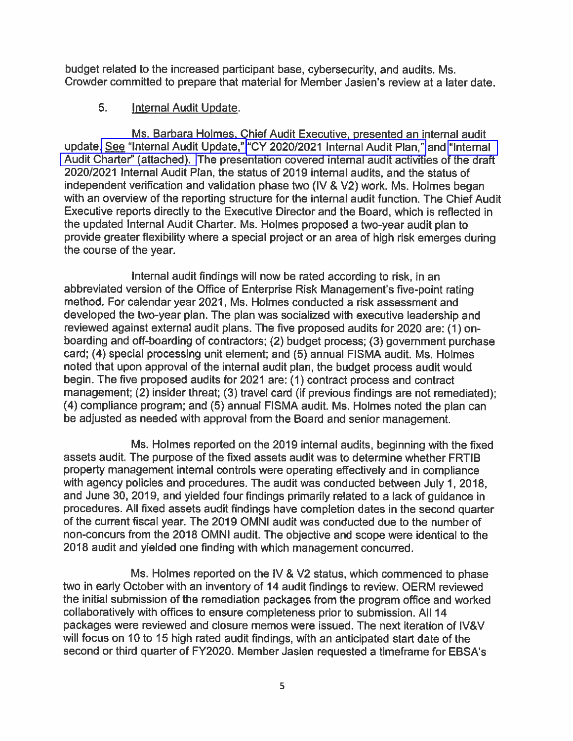budget related to the increased participant base, cybersecurity, and audits. Ms. Crowder committed to prepare that material for Member Jasien's review at a later date.

## 5. **Internal Audit Update.**

Ms. Barbara Holmes, Chief Audit Executive, presented an internal audit update. See "Internal Audit Update," "CY 2020/2021 Internal Audit Plan," and "Internal Audit Charter" (attached). The presentation covered internal audit activities of the draft 2020/2021 Internal Audit Plan, the status of 2019 internal audits, and the status of independent verification and validation phase two (IV & V2) work. Ms. Holmes began with an overview of the reporting structure for the internal audit function. The Chief Audit Executive reports directly to the Executive Director and the Board, which is reflected in the updated Internal Audit Charter. Ms. Holmes proposed a two-year audit plan to provide greater flexibility where a special project or an area of high risk emerges during the course of the year.

Internal audit findings will now be rated according to risk, in an abbreviated version of the Office of Enterprise Risk Management's five-point rating method. For calendar year 2021, Ms. Holmes conducted a risk assessment and developed the two-year plan. The plan was socialized with executive leadership and reviewed against external audit plans. The five proposed audits for 2020 are: (1) onboarding and off-boarding of contractors; (2) budget process; (3) government purchase card; (4) special processing unit element; and (5) annual FISMA audit. Ms. Holmes noted that upon approval of the internal audit plan, the budget process audit would begin. The five proposed audits for 2021 are: (1) contract process and contract management; (2) insider threat; (3) travel card (if previous findings are not remediated); (4) compliance program; and (5) annual FISMA audit. Ms. Holmes noted the plan can be adjusted as needed with approval from the Board and senior management.

Ms. Holmes reported on the 2019 internal audits, beginning with the fixed assets audit. The purpose of the fixed assets audit was to determine whether FRTIB property management internal controls were operating effectively and in compliance with agency policies and procedures. The audit was conducted between July 1, 2018, and June 30, 2019, and yielded four findings primarily related to a lack of guidance in procedures. All fixed assets audit findings have completion dates in the second quarter of the current fiscal year. The 2019 OMNI audit was conducted due to the number of non-concurs from the 2018 OMNI audit. The objective and scope were identical to the 2018 audit and yielded one finding with which management concurred.

Ms. Holmes reported on the IV & V2 status, which commenced to phase two in early October with an inventory of 14 audit findings to review. OERM reviewed the initial submission of the remediation packages from the program office and worked collaboratively with offices to ensure completeness prior to submission. All 14 packages were reviewed and closure memos were issued. The next iteration of IV&V will focus on 10 to 15 high rated audit findings, with an anticipated start date of the second or third quarter of FY2020. Member Jasien requested a timeframe for EBSA's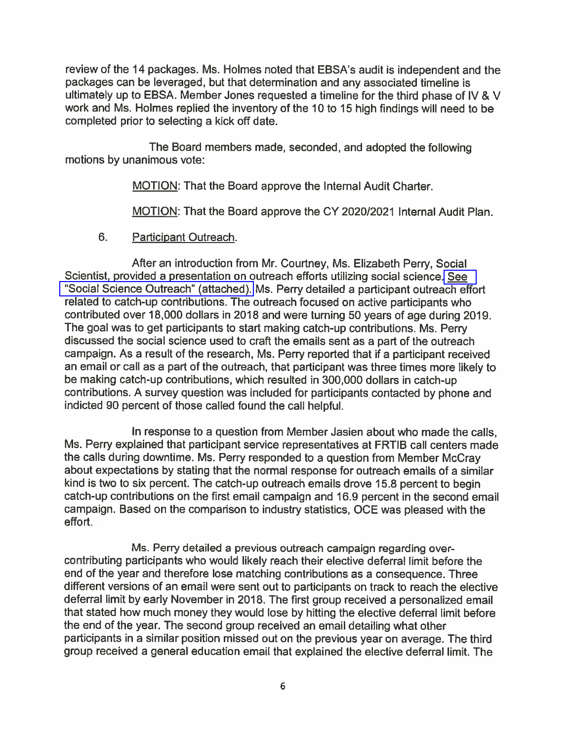review of the 14 packages. Ms. Holmes noted that EBSA's audit is independent and the packages can be leveraged, but that determination and any associated timeline is ultimately up to EBSA. Member Jones requested a timeline for the third phase of IV & V work and Ms. Holmes replied the inventory of the 10 to 15 high findings will need to be completed prior to selecting a kick off date.

The Board members made, seconded, and adopted the following motions by unanimous vote:

MOTION: That the Board approve the Internal Audit Charter.

MOTION: That the Board approve the CY 2020/2021 Internal Audit Plan.

 $6.$ Participant Outreach.

After an introduction from Mr. Courtney, Ms. Elizabeth Perry, Social Scientist, provided a presentation on outreach efforts utilizing social science. See "Social Science Outreach" (attached). Ms. Perry detailed a participant outreach effort related to catch-up contributions. The outreach focused on active participants who contributed over 18,000 dollars in 2018 and were turning 50 years of age during 2019. The goal was to get participants to start making catch-up contributions. Ms. Perry discussed the social science used to craft the emails sent as a part of the outreach campaign. As a result of the research, Ms. Perry reported that if a participant received an email or call as a part of the outreach, that participant was three times more likely to be making catch-up contributions, which resulted in 300,000 dollars in catch-up contributions. A survey question was included for participants contacted by phone and indicted 90 percent of those called found the call helpful.

In response to a question from Member Jasien about who made the calls, Ms. Perry explained that participant service representatives at FRTIB call centers made the calls during downtime. Ms. Perry responded to a question from Member McCray about expectations by stating that the normal response for outreach emails of a similar kind is two to six percent. The catch-up outreach emails drove 15.8 percent to begin catch-up contributions on the first email campaign and 16.9 percent in the second email campaign. Based on the comparison to industry statistics, OCE was pleased with the effort.

Ms. Perry detailed a previous outreach campaign regarding overcontributing participants who would likely reach their elective deferral limit before the end of the year and therefore lose matching contributions as a consequence. Three different versions of an email were sent out to participants on track to reach the elective deferral limit by early November in 2018. The first group received a personalized email that stated how much money they would lose by hitting the elective deferral limit before the end of the year. The second group received an email detailing what other participants in a similar position missed out on the previous year on average. The third group received a general education email that explained the elective deferral limit. The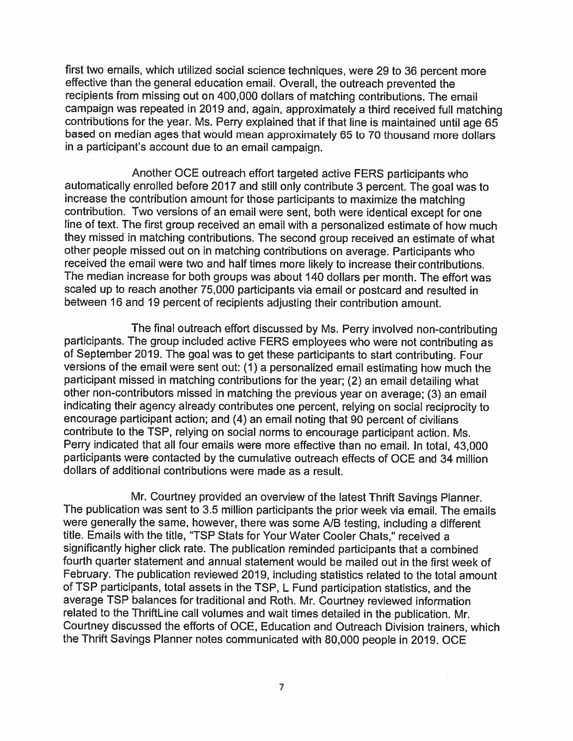first two emails, which utilized social science techniques, were 29 to 36 percent more effective than the general education email. Overall, the outreach prevented the recipients from missing out on 400,000 dollars of matching contributions. The email campaign was repeated in 2019 and, again, approximately a third received full matching contributions for the year. Ms. Perry explained that if that line is maintained until age 65 based on median ages that would mean approximately 65 to 70 thousand more dollars in a participant's account due to an email campaign.

Another OCE outreach effort targeted active FERS participants who automatically enrolled before 2017 and still only contribute 3 percent. The goal was to increase the contribution amount for those participants to maximize the matching contribution. Two versions of an email were sent, both were identical except for one line of text. The first group received an email with a personalized estimate of how much they missed in matching contributions. The second group received an estimate of what other people missed out on in matching contributions on average. Participants who received the email were two and half times more likely to increase their contributions. The median increase for both groups was about 140 dollars per month. The effort was scaled up to reach another 75,000 participants via email or postcard and resulted in between 16 and 19 percent of recipients adjusting their contribution amount.

The final outreach effort discussed by Ms. Perry involved non-contributing participants. The group included active FERS employees who were not contributing as of September 2019. The goal was to get these participants to start contributing. Four versions of the email were sent out:  $(1)$  a personalized email estimating how much the participant missed in matching contributions for the year; (2) an email detailing what other non-contributors missed in matching the previous year on average; (3) an email indicating their agency already contributes one percent, relying on social reciprocity to encourage participant action; and (4) an email noting that 90 percent of civilians contribute to the TSP, relying on social norms to encourage participant action. Ms. Perry indicated that all four emails were more effective than no email. In total, 43,000 participants were contacted by the cumulative outreach effects of OCE and 34 million dollars of additional contributions were made as a result.

Mr. Courtney provided an overview of the latest Thrift Savings Planner. The publication was sent to 3.5 million participants the prior week via email. The emails were generally the same. however, there was some A/B testing, including a different title. Emails with the title, "TSP Stats for Your Water Cooler Chats," received a significantly higher click rate. The publication reminded participants that a combined fourth quarter statement and annual statement would be mailed out in the first week of February. The publication reviewed 2019, including statistics related to the total amount of TSP participants, total assets in the TSP, L Fund participation statistics, and the average TSP balances for traditional and Roth. Mr. Courtney reviewed information related to the ThriftLine call volumes and wait times detailed in the publication. Mr. Courtney discussed the efforts of OCE, Education and Outreach Division trainers, which the Thrift Savings Planner notes communicated with 80,000 people in 2019. OCE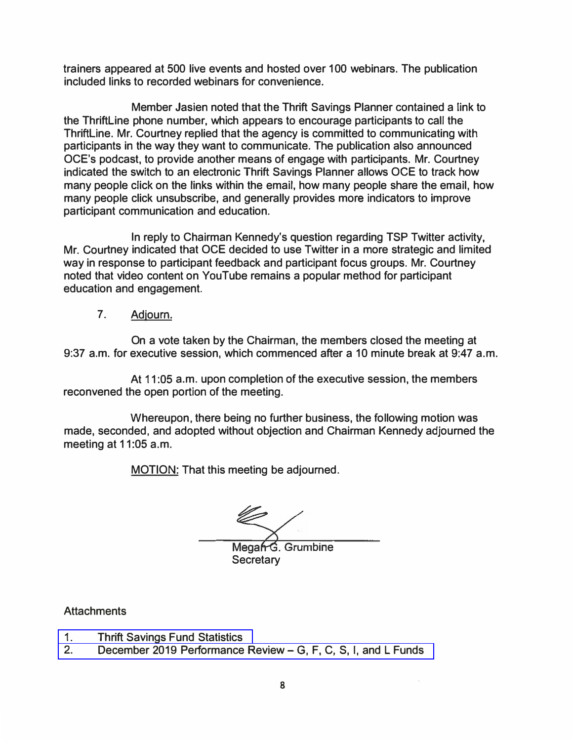**trainers appeared at 500 live events and hosted over 100 webinars. The publication included links to recorded webinars for convenience.** 

**Member Jasien noted that the Thrift Savings Planner contained a link to the Thriftline phone number, which appears to encourage participants to call the Thriftline. Mr. Courtney replied that the agency is committed to communicating with participants in the way they want to communicate. The publication also announced OCE's podcast, to provide another means of engage with participants. Mr. Courtney indicated the switch to an electronic Thrift Savings Planner allows OGE to track how many people click on the links within the email, how many people share the email, how many people click unsubscribe, and generally provides more indicators to improve participant communication and education.** 

**In reply to Chairman Kennedy's question regarding TSP Twitter activity, Mr. Courtney indicated that OGE decided to use Twitter in a more strategic and limited way in response to participant feedback and participant focus groups. Mr. Courtney noted that video content on YouTube remains a popular method for participant education and engagement.** 

**7. Adjourn.**

**On a vote taken by the Chairman, the members closed the meeting at 9:37 a.m. for executive session, which commenced after a 10 minute break at 9:47 a.m.** 

**At 11 :05 a.m. upon completion of the executive session, the members reconvened the open portion of the meeting.** 

**Whereupon, there being no further business, the following motion was made, seconded, and adopted without objection and Chairman Kennedy adjourned the meeting at 11 :05 a.m.** 

**MOTION: That this meeting be adjourned.** 

Megan G. Grumbine **Secretary** 

**Attachments** 

- **1.[Thrift Savings Fund Statistics](https://www.frtib.gov/pdf/minutes/2020/Jan/MM-2020Jan-Att1.pdf)**
- **2. [December 2019 Performance Review-](https://www.frtib.gov/pdf/minutes/2020/Jan/MM-2020Jan-Att2.pdf) G, F, C, S, I, and L Funds**